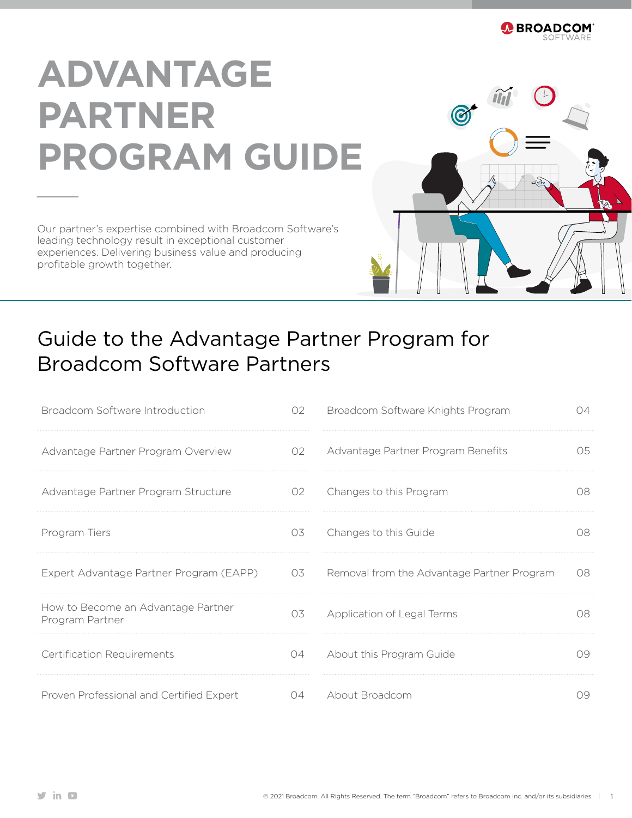

# **ADVANTAGE PARTNER PROGRAM GUIDE**

Our partner's expertise combined with Broadcom Software's leading technology result in exceptional customer experiences. Delivering business value and producing profitable growth together.



# Guide to the Advantage Partner Program for Broadcom Software Partners

| Broadcom Software Introduction                        | 02  | Broadcom Software Knights Program          | DД  |
|-------------------------------------------------------|-----|--------------------------------------------|-----|
| Advantage Partner Program Overview                    | 02  | Advantage Partner Program Benefits         | 05. |
| Advantage Partner Program Structure                   | 02  | Changes to this Program                    | 08. |
| Program Tiers                                         | 03  | Changes to this Guide                      | O8. |
| Expert Advantage Partner Program (EAPP)               | 03  | Removal from the Advantage Partner Program | 08  |
| How to Become an Advantage Partner<br>Program Partner | 03  | Application of Legal Terms                 | 08  |
| <b>Certification Requirements</b>                     | 04  | About this Program Guide                   | 09  |
| Proven Professional and Certified Expert              | 04. | About Broadcom                             | 79  |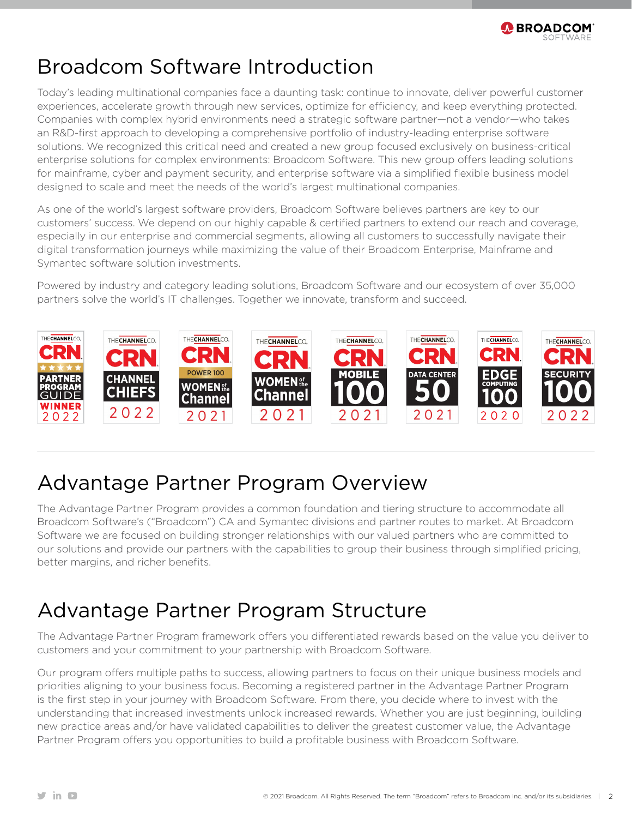

### Broadcom Software Introduction

Today's leading multinational companies face a daunting task: continue to innovate, deliver powerful customer experiences, accelerate growth through new services, optimize for efficiency, and keep everything protected. Companies with complex hybrid environments need a strategic software partner—not a vendor—who takes an R&D-first approach to developing a comprehensive portfolio of industry-leading enterprise software solutions. We recognized this critical need and created a new group focused exclusively on business-critical enterprise solutions for complex environments: Broadcom Software. This new group offers leading solutions for mainframe, cyber and payment security, and enterprise software via a simplified flexible business model designed to scale and meet the needs of the world's largest multinational companies.

As one of the world's largest software providers, Broadcom Software believes partners are key to our customers' success. We depend on our highly capable & certified partners to extend our reach and coverage, especially in our enterprise and commercial segments, allowing all customers to successfully navigate their digital transformation journeys while maximizing the value of their Broadcom Enterprise, Mainframe and Symantec software solution investments.

Powered by industry and category leading solutions, Broadcom Software and our ecosystem of over 35,000 partners solve the world's IT challenges. Together we innovate, transform and succeed.



# Advantage Partner Program Overview

The Advantage Partner Program provides a common foundation and tiering structure to accommodate all Broadcom Software's ("Broadcom") CA and Symantec divisions and partner routes to market. At Broadcom Software we are focused on building stronger relationships with our valued partners who are committed to our solutions and provide our partners with the capabilities to group their business through simplified pricing, better margins, and richer benefits.

# Advantage Partner Program Structure

The Advantage Partner Program framework offers you differentiated rewards based on the value you deliver to customers and your commitment to your partnership with Broadcom Software.

Our program offers multiple paths to success, allowing partners to focus on their unique business models and priorities aligning to your business focus. Becoming a registered partner in the Advantage Partner Program is the first step in your journey with Broadcom Software. From there, you decide where to invest with the understanding that increased investments unlock increased rewards. Whether you are just beginning, building new practice areas and/or have validated capabilities to deliver the greatest customer value, the Advantage Partner Program offers you opportunities to build a profitable business with Broadcom Software.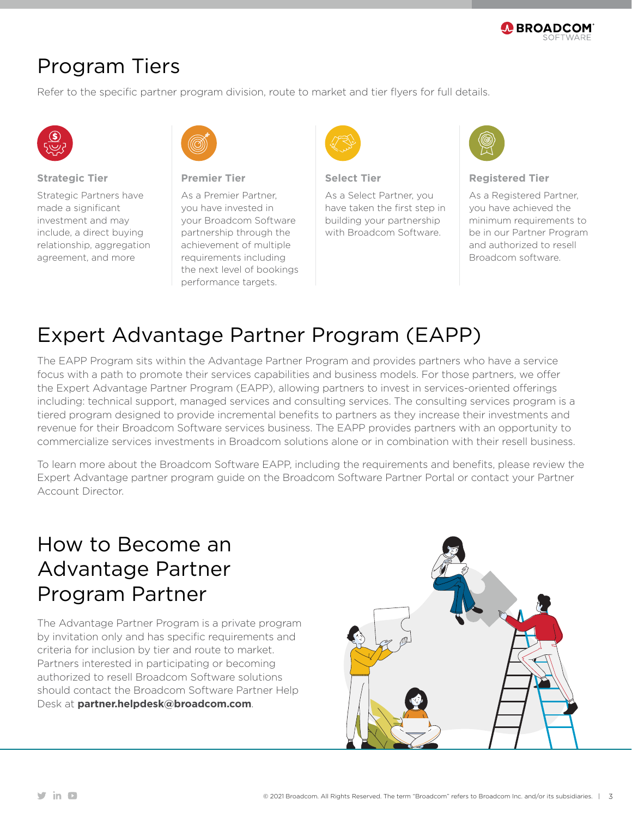

### Program Tiers

Refer to the specific partner program division, route to market and tier flyers for full details.



#### **Strategic Tier**

Strategic Partners have made a significant investment and may include, a direct buying relationship, aggregation agreement, and more



**Premier Tier**

As a Premier Partner, you have invested in your Broadcom Software partnership through the achievement of multiple requirements including the next level of bookings performance targets.



#### **Select Tier**

As a Select Partner, you have taken the first step in building your partnership with Broadcom Software.



#### **Registered Tier**

As a Registered Partner, you have achieved the minimum requirements to be in our Partner Program and authorized to resell Broadcom software.

### Expert Advantage Partner Program (EAPP)

The EAPP Program sits within the Advantage Partner Program and provides partners who have a service focus with a path to promote their services capabilities and business models. For those partners, we offer the Expert Advantage Partner Program (EAPP), allowing partners to invest in services-oriented offerings including: technical support, managed services and consulting services. The consulting services program is a tiered program designed to provide incremental benefits to partners as they increase their investments and revenue for their Broadcom Software services business. The EAPP provides partners with an opportunity to commercialize services investments in Broadcom solutions alone or in combination with their resell business.

To learn more about the Broadcom Software EAPP, including the requirements and benefits, please review the Expert Advantage partner program guide on the Broadcom Software Partner Portal or contact your Partner Account Director.

### How to Become an Advantage Partner Program Partner

The Advantage Partner Program is a private program by invitation only and has specific requirements and criteria for inclusion by tier and route to market. Partners interested in participating or becoming authorized to resell Broadcom Software solutions should contact the Broadcom Software Partner Help Desk at **[partner.helpdesk@broadcom.com](mailto:partner.helpdesk%40broadcom.com?subject=)**.

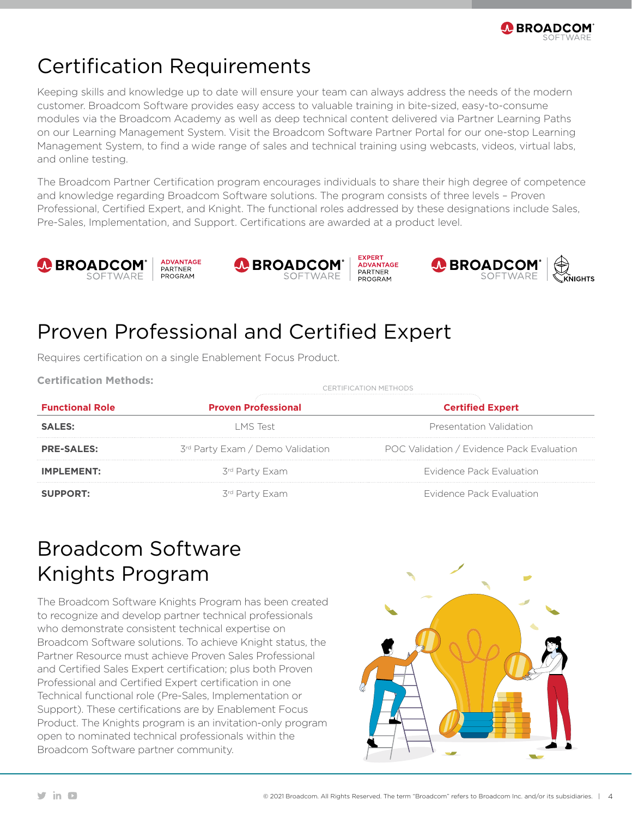

# Certification Requirements

Keeping skills and knowledge up to date will ensure your team can always address the needs of the modern customer. Broadcom Software provides easy access to valuable training in bite-sized, easy-to-consume modules via the Broadcom Academy as well as deep technical content delivered via Partner Learning Paths on our Learning Management System. Visit the Broadcom Software Partner Portal for our one-stop Learning Management System, to find a wide range of sales and technical training using webcasts, videos, virtual labs, and online testing.

The Broadcom Partner Certification program encourages individuals to share their high degree of competence and knowledge regarding Broadcom Software solutions. The program consists of three levels – Proven Professional, Certified Expert, and Knight. The functional roles addressed by these designations include Sales, Pre-Sales, Implementation, and Support. Certifications are awarded at a product level.



# Proven Professional and Certified Expert

Requires certification on a single Enablement Focus Product.

**Functional Role Proven Professional Certified Expert SALES: Example 2018 LMS** Test **CONS CONS Presentation Validation PRE-SALES:** 3<sup>rd</sup> Party Exam / Demo Validation POC Validation / Evidence Pack Evaluation **IMPLEMENT:** 3<sup>rd</sup> Party Exam 300 300 and 500 and 500 and 500 and 500 and 500 and 500 and 500 and 500 and 500 and 500 and 500 and 500 and 500 and 500 and 500 and 500 and 500 and 500 and 500 and 500 and 500 and 500 and 500 **SUPPORT:** 3<sup>rd</sup> Party Exam 300 300 and 500 and 500 and 500 and 500 and 500 and 500 and 500 and 500 and 500 and 500 and 500 and 500 and 500 and 500 and 500 and 500 and 500 and 500 and 500 and 500 and 500 and 500 and 500 an **Certification Methods:** CERTIFICATION METHODS

# Broadcom Software Knights Program

The Broadcom Software Knights Program has been created to recognize and develop partner technical professionals who demonstrate consistent technical expertise on Broadcom Software solutions. To achieve Knight status, the Partner Resource must achieve Proven Sales Professional and Certified Sales Expert certification; plus both Proven Professional and Certified Expert certification in one Technical functional role (Pre-Sales, Implementation or Support). These certifications are by Enablement Focus Product. The Knights program is an invitation-only program open to nominated technical professionals within the Broadcom Software partner community.

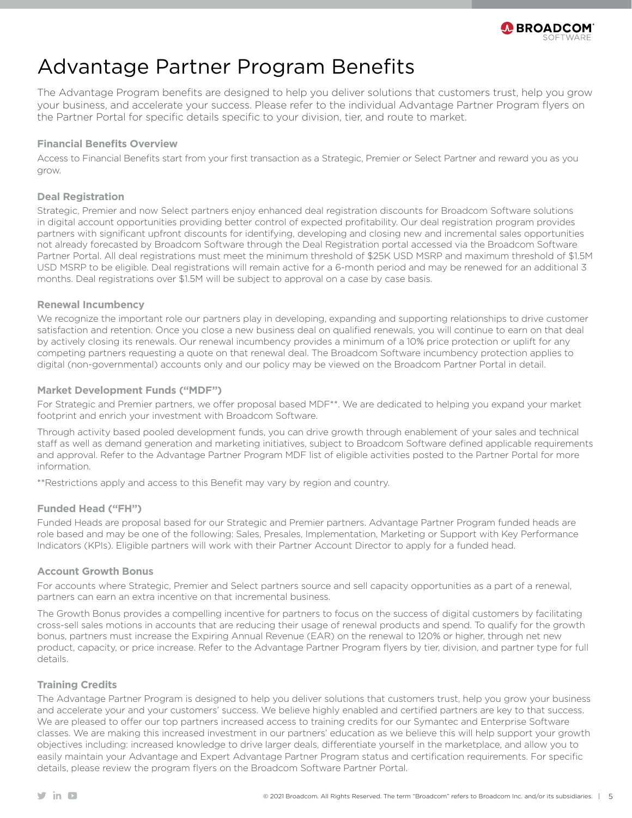

### Advantage Partner Program Benefits

The Advantage Program benefits are designed to help you deliver solutions that customers trust, help you grow your business, and accelerate your success. Please refer to the individual Advantage Partner Program flyers on the Partner Portal for specific details specific to your division, tier, and route to market.

#### **Financial Benefits Overview**

Access to Financial Benefits start from your first transaction as a Strategic, Premier or Select Partner and reward you as you grow.

#### **Deal Registration**

Strategic, Premier and now Select partners enjoy enhanced deal registration discounts for Broadcom Software solutions in digital account opportunities providing better control of expected profitability. Our deal registration program provides partners with significant upfront discounts for identifying, developing and closing new and incremental sales opportunities not already forecasted by Broadcom Software through the Deal Registration portal accessed via the Broadcom Software Partner Portal. All deal registrations must meet the minimum threshold of \$25K USD MSRP and maximum threshold of \$1.5M USD MSRP to be eligible. Deal registrations will remain active for a 6-month period and may be renewed for an additional 3 months. Deal registrations over \$1.5M will be subject to approval on a case by case basis.

#### **Renewal Incumbency**

We recognize the important role our partners play in developing, expanding and supporting relationships to drive customer satisfaction and retention. Once you close a new business deal on qualified renewals, you will continue to earn on that deal by actively closing its renewals. Our renewal incumbency provides a minimum of a 10% price protection or uplift for any competing partners requesting a quote on that renewal deal. The Broadcom Software incumbency protection applies to digital (non-governmental) accounts only and our policy may be viewed on the Broadcom Partner Portal in detail.

#### **Market Development Funds ("MDF")**

For Strategic and Premier partners, we offer proposal based MDF\*\*. We are dedicated to helping you expand your market footprint and enrich your investment with Broadcom Software.

Through activity based pooled development funds, you can drive growth through enablement of your sales and technical staff as well as demand generation and marketing initiatives, subject to Broadcom Software defined applicable requirements and approval. Refer to the Advantage Partner Program MDF list of eligible activities posted to the Partner Portal for more information.

\*\*Restrictions apply and access to this Benefit may vary by region and country.

#### **Funded Head ("FH")**

Funded Heads are proposal based for our Strategic and Premier partners. Advantage Partner Program funded heads are role based and may be one of the following: Sales, Presales, Implementation, Marketing or Support with Key Performance Indicators (KPIs). Eligible partners will work with their Partner Account Director to apply for a funded head.

#### **Account Growth Bonus**

For accounts where Strategic, Premier and Select partners source and sell capacity opportunities as a part of a renewal, partners can earn an extra incentive on that incremental business.

The Growth Bonus provides a compelling incentive for partners to focus on the success of digital customers by facilitating cross-sell sales motions in accounts that are reducing their usage of renewal products and spend. To qualify for the growth bonus, partners must increase the Expiring Annual Revenue (EAR) on the renewal to 120% or higher, through net new product, capacity, or price increase. Refer to the Advantage Partner Program flyers by tier, division, and partner type for full details.

#### **Training Credits**

The Advantage Partner Program is designed to help you deliver solutions that customers trust, help you grow your business and accelerate your and your customers' success. We believe highly enabled and certified partners are key to that success. We are pleased to offer our top partners increased access to training credits for our Symantec and Enterprise Software classes. We are making this increased investment in our partners' education as we believe this will help support your growth objectives including: increased knowledge to drive larger deals, differentiate yourself in the marketplace, and allow you to easily maintain your Advantage and Expert Advantage Partner Program status and certification requirements. For specific details, please review the program flyers on the Broadcom Software Partner Portal.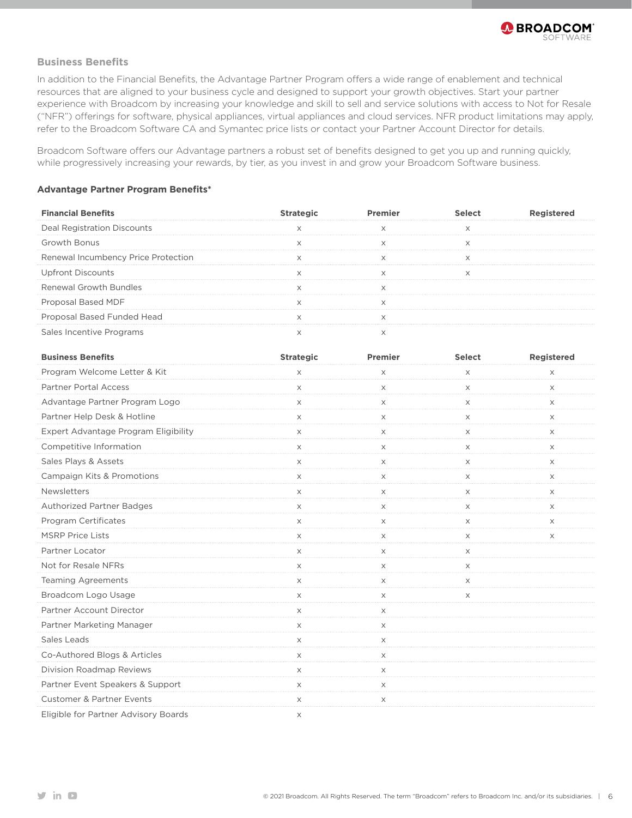

#### **Business Benefits**

In addition to the Financial Benefits, the Advantage Partner Program offers a wide range of enablement and technical resources that are aligned to your business cycle and designed to support your growth objectives. Start your partner experience with Broadcom by increasing your knowledge and skill to sell and service solutions with access to Not for Resale ("NFR") offerings for software, physical appliances, virtual appliances and cloud services. NFR product limitations may apply, refer to the Broadcom Software CA and Symantec price lists or contact your Partner Account Director for details.

Broadcom Software offers our Advantage partners a robust set of benefits designed to get you up and running quickly, while progressively increasing your rewards, by tier, as you invest in and grow your Broadcom Software business.

#### **Advantage Partner Program Benefits\***

| <b>Financial Benefits</b>           |  |  |
|-------------------------------------|--|--|
| Registration Discour                |  |  |
| Growth Bonus                        |  |  |
| Renewal Incumbency Price Protection |  |  |
| ont Discounts                       |  |  |
| <b>Renewal Growth Bundles</b>       |  |  |
| Proposal Based MDF                  |  |  |
| Proposal Based Funded Head          |  |  |
| Sales Incentive Programs            |  |  |

| <b>Business Benefits</b>             | <b>Strategic</b> | Premier               | <b>Select</b> | <b>Registered</b> |
|--------------------------------------|------------------|-----------------------|---------------|-------------------|
| Program Welcome Letter & Kit         | X                | X                     | X             | X                 |
| Partner Portal Access                | $\times$         | X                     | X             | $\times$          |
| Advantage Partner Program Logo       | X                | $\times$              | $\times$      | $\times$          |
| Partner Help Desk & Hotline          | X                | X                     | X             | X                 |
| Expert Advantage Program Eligibility | X                | X                     | $\times$      | $\times$          |
| Competitive Information              | X                | X                     | X             | X                 |
| Sales Plays & Assets                 | X                | X                     | X             | X                 |
| Campaign Kits & Promotions           | X                | X                     | Χ             | X                 |
| Newsletters                          | $\times$         | $\times$              | $\times$      | X                 |
| <b>Authorized Partner Badges</b>     | X                | X                     | $\times$      | X                 |
| Program Certificates                 | X                | X                     | X             | $\times$          |
| <b>MSRP Price Lists</b>              | X                | X                     | X             | X                 |
| Partner Locator                      | X                | X                     | $\times$      |                   |
| Not for Resale NFRs                  | X                | X                     | $\times$      |                   |
| <b>Teaming Agreements</b>            | X                | $\times$              | $\times$      |                   |
| Broadcom Logo Usage                  | X<br>.           | X                     | X             |                   |
| Partner Account Director             | X                | $\times$              |               |                   |
| Partner Marketing Manager            | X                | X                     |               |                   |
| Sales Leads                          | X                | $\boldsymbol{\times}$ |               |                   |
| Co-Authored Blogs & Articles         | $\times$         | X                     |               |                   |
| Division Roadmap Reviews             | X                | $\times$              |               |                   |
| Partner Event Speakers & Support     | X                | X                     |               |                   |
| <b>Customer &amp; Partner Events</b> | X                | X                     |               |                   |
| Eligible for Partner Advisory Boards | X                |                       |               |                   |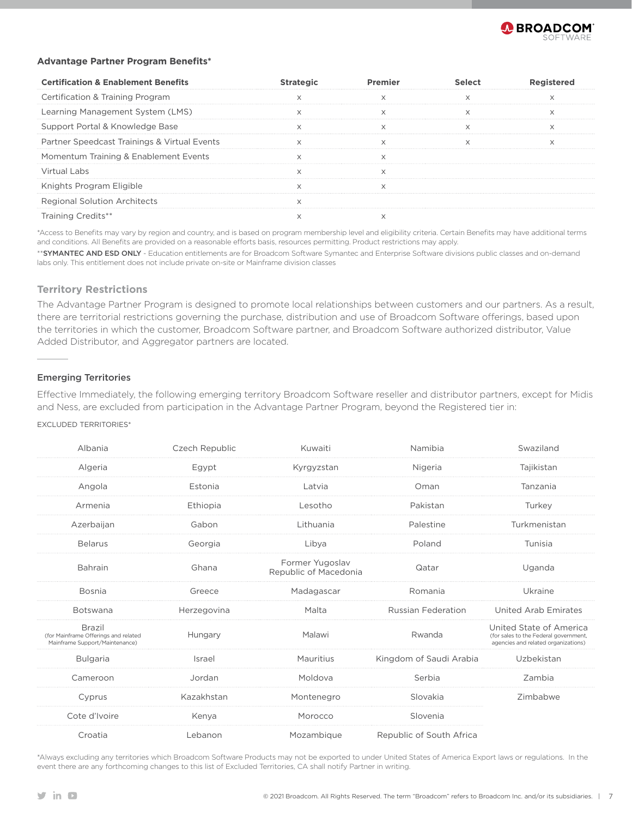

#### **Advantage Partner Program Benefits\***

| <b>Certification &amp; Enablement Benefits</b> |  |  |
|------------------------------------------------|--|--|
| Certification & Training Program               |  |  |
| Learning Management System (LMS)               |  |  |
| Support Portal & Knowledge Base                |  |  |
| Partner Speedcast Trainings & Virtual Events   |  |  |
| Momentum Training & Enablement Events          |  |  |
| Virtual Labs                                   |  |  |
| Knights Program Eligible                       |  |  |
| Regional Solution Architects                   |  |  |
|                                                |  |  |

\*Access to Benefits may vary by region and country, and is based on program membership level and eligibility criteria. Certain Benefits may have additional terms and conditions. All Benefits are provided on a reasonable efforts basis, resources permitting. Product restrictions may apply.

\*\*SYMANTEC AND ESD ONLY - Education entitlements are for Broadcom Software Symantec and Enterprise Software divisions public classes and on-demand labs only. This entitlement does not include private on-site or Mainframe division classes

#### **Territory Restrictions**

The Advantage Partner Program is designed to promote local relationships between customers and our partners. As a result, there are territorial restrictions governing the purchase, distribution and use of Broadcom Software offerings, based upon the territories in which the customer, Broadcom Software partner, and Broadcom Software authorized distributor, Value Added Distributor, and Aggregator partners are located.

#### Emerging Territories

Effective Immediately, the following emerging territory Broadcom Software reseller and distributor partners, except for Midis and Ness, are excluded from participation in the Advantage Partner Program, beyond the Registered tier in:

#### EXCLUDED TERRITORIES\*

| Albania                                                                                 | Czech Republic | Kuwaiti                                  | Namibia                   | Swaziland                                                                                               |
|-----------------------------------------------------------------------------------------|----------------|------------------------------------------|---------------------------|---------------------------------------------------------------------------------------------------------|
| Algeria                                                                                 | Egypt          | Kyrgyzstan                               | Nigeria                   | Taiikistan                                                                                              |
| Angola                                                                                  | Estonia        | Latvia                                   | Oman                      | Tanzania                                                                                                |
| Armenia                                                                                 | Ethiopia       | Lesotho                                  | Pakistan                  | Turkey                                                                                                  |
| Azerbaijan                                                                              | Gabon          | Lithuania                                | Palestine                 | Turkmenistan                                                                                            |
| <b>Belarus</b>                                                                          | Georgia        | Libya                                    | Poland                    | Tunisia                                                                                                 |
| Bahrain                                                                                 | Ghana          | Former Yugoslav<br>Republic of Macedonia | Qatar                     | Uganda                                                                                                  |
| Bosnia                                                                                  | Greece         | Madagascar                               | Romania                   | Ukraine                                                                                                 |
| Botswana                                                                                | Herzegovina    | Malta                                    | <b>Russian Federation</b> | <b>United Arab Emirates</b>                                                                             |
| <b>Brazil</b><br>(for Mainframe Offerings and related<br>Mainframe Support/Maintenance) | Hungary        | Malawi                                   | Rwanda                    | United State of America<br>(for sales to the Federal government,<br>agencies and related organizations) |
| <b>Bulgaria</b>                                                                         | Israel         | Mauritius                                | Kingdom of Saudi Arabia   | Uzbekistan                                                                                              |
| Cameroon                                                                                | Jordan         | Moldova                                  | Serbia                    | Zambia                                                                                                  |
| Cyprus                                                                                  | Kazakhstan     | Montenegro                               | Slovakia                  | Zimbabwe                                                                                                |
| Cote d'Ivoire                                                                           | Kenya          | Morocco                                  | Slovenia                  |                                                                                                         |
| Croatia                                                                                 | Lebanon        | Mozambique                               | Republic of South Africa  |                                                                                                         |

\*Always excluding any territories which Broadcom Software Products may not be exported to under United States of America Export laws or regulations. In the event there are any forthcoming changes to this list of Excluded Territories, CA shall notify Partner in writing.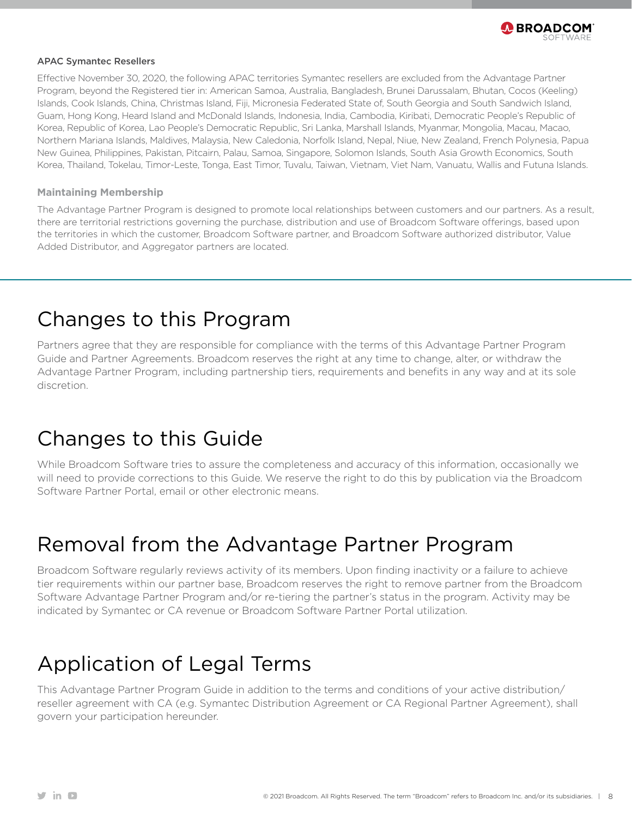

#### APAC Symantec Resellers

Effective November 30, 2020, the following APAC territories Symantec resellers are excluded from the Advantage Partner Program, beyond the Registered tier in: American Samoa, Australia, Bangladesh, Brunei Darussalam, Bhutan, Cocos (Keeling) Islands, Cook Islands, China, Christmas Island, Fiji, Micronesia Federated State of, South Georgia and South Sandwich Island, Guam, Hong Kong, Heard Island and McDonald Islands, Indonesia, India, Cambodia, Kiribati, Democratic People's Republic of Korea, Republic of Korea, Lao People's Democratic Republic, Sri Lanka, Marshall Islands, Myanmar, Mongolia, Macau, Macao, Northern Mariana Islands, Maldives, Malaysia, New Caledonia, Norfolk Island, Nepal, Niue, New Zealand, French Polynesia, Papua New Guinea, Philippines, Pakistan, Pitcairn, Palau, Samoa, Singapore, Solomon Islands, South Asia Growth Economics, South Korea, Thailand, Tokelau, Timor-Leste, Tonga, East Timor, Tuvalu, Taiwan, Vietnam, Viet Nam, Vanuatu, Wallis and Futuna Islands.

#### **Maintaining Membership**

The Advantage Partner Program is designed to promote local relationships between customers and our partners. As a result, there are territorial restrictions governing the purchase, distribution and use of Broadcom Software offerings, based upon the territories in which the customer, Broadcom Software partner, and Broadcom Software authorized distributor, Value Added Distributor, and Aggregator partners are located.

### Changes to this Program

Partners agree that they are responsible for compliance with the terms of this Advantage Partner Program Guide and Partner Agreements. Broadcom reserves the right at any time to change, alter, or withdraw the Advantage Partner Program, including partnership tiers, requirements and benefits in any way and at its sole discretion.

### Changes to this Guide

While Broadcom Software tries to assure the completeness and accuracy of this information, occasionally we will need to provide corrections to this Guide. We reserve the right to do this by publication via the Broadcom Software Partner Portal, email or other electronic means.

### Removal from the Advantage Partner Program

Broadcom Software regularly reviews activity of its members. Upon finding inactivity or a failure to achieve tier requirements within our partner base, Broadcom reserves the right to remove partner from the Broadcom Software Advantage Partner Program and/or re-tiering the partner's status in the program. Activity may be indicated by Symantec or CA revenue or Broadcom Software Partner Portal utilization.

### Application of Legal Terms

This Advantage Partner Program Guide in addition to the terms and conditions of your active distribution/ reseller agreement with CA (e.g. Symantec Distribution Agreement or CA Regional Partner Agreement), shall govern your participation hereunder.